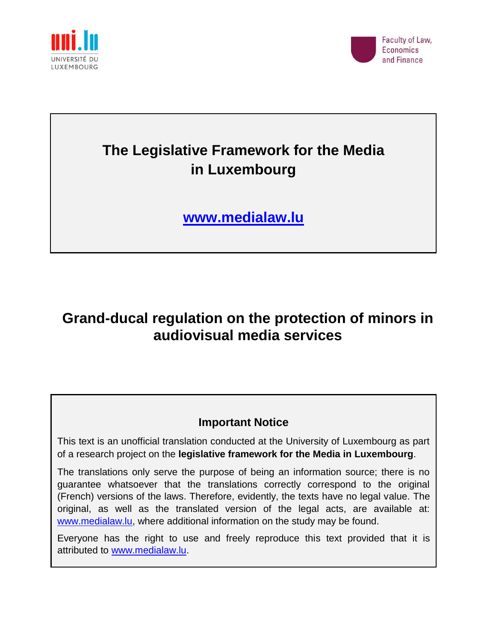



# **The Legislative Framework for the Media in Luxembourg**

**[www.medialaw.lu](http://www.medialaw.lu/)**

## **Grand-ducal regulation on the protection of minors in audiovisual media services**

### **Important Notice**

This text is an unofficial translation conducted at the University of Luxembourg as part of a research project on the **legislative framework for the Media in Luxembourg**.

The translations only serve the purpose of being an information source; there is no guarantee whatsoever that the translations correctly correspond to the original (French) versions of the laws. Therefore, evidently, the texts have no legal value. The original, as well as the translated version of the legal acts, are available at: [www.medialaw.lu,](http://www.medialaw.lu/) where additional information on the study may be found.

Everyone has the right to use and freely reproduce this text provided that it is attributed to [www.medialaw.lu.](http://www.medialaw.lu/)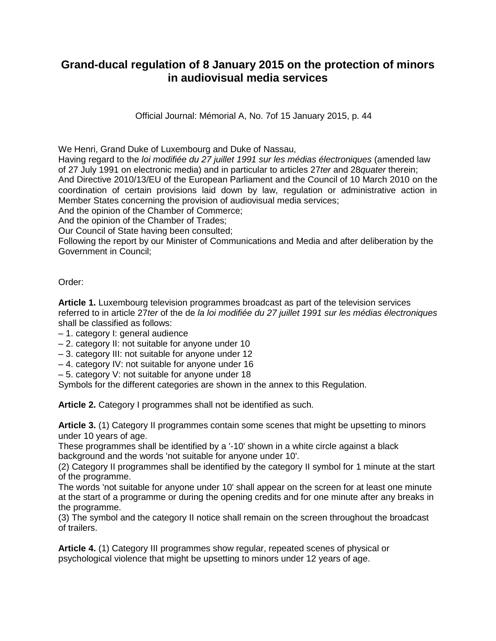### **Grand-ducal regulation of 8 January 2015 on the protection of minors in audiovisual media services**

Official Journal: Mémorial A, No. 7of 15 January 2015, p. 44

We Henri, Grand Duke of Luxembourg and Duke of Nassau,

Having regard to the *loi modifiée du 27 juillet 1991 sur les médias électroniques* (amended law of 27 July 1991 on electronic media) and in particular to articles 27*ter* and 28*quater* therein; And Directive 2010/13/EU of the European Parliament and the Council of 10 March 2010 on the coordination of certain provisions laid down by law, regulation or administrative action in Member States concerning the provision of audiovisual media services;

And the opinion of the Chamber of Commerce;

And the opinion of the Chamber of Trades;

Our Council of State having been consulted;

Following the report by our Minister of Communications and Media and after deliberation by the Government in Council;

#### Order:

**Article 1.** Luxembourg television programmes broadcast as part of the television services referred to in article 27*ter* of the de *la loi modifiée du 27 juillet 1991 sur les médias électroniques* shall be classified as follows:

- 1. category I: general audience
- 2. category II: not suitable for anyone under 10
- 3. category III: not suitable for anyone under 12
- 4. category IV: not suitable for anyone under 16
- 5. category V: not suitable for anyone under 18

Symbols for the different categories are shown in the annex to this Regulation.

**Article 2.** Category I programmes shall not be identified as such.

**Article 3.** (1) Category II programmes contain some scenes that might be upsetting to minors under 10 years of age.

These programmes shall be identified by a '-10' shown in a white circle against a black background and the words 'not suitable for anyone under 10'.

(2) Category II programmes shall be identified by the category II symbol for 1 minute at the start of the programme.

The words 'not suitable for anyone under 10' shall appear on the screen for at least one minute at the start of a programme or during the opening credits and for one minute after any breaks in the programme.

(3) The symbol and the category II notice shall remain on the screen throughout the broadcast of trailers.

**Article 4.** (1) Category III programmes show regular, repeated scenes of physical or psychological violence that might be upsetting to minors under 12 years of age.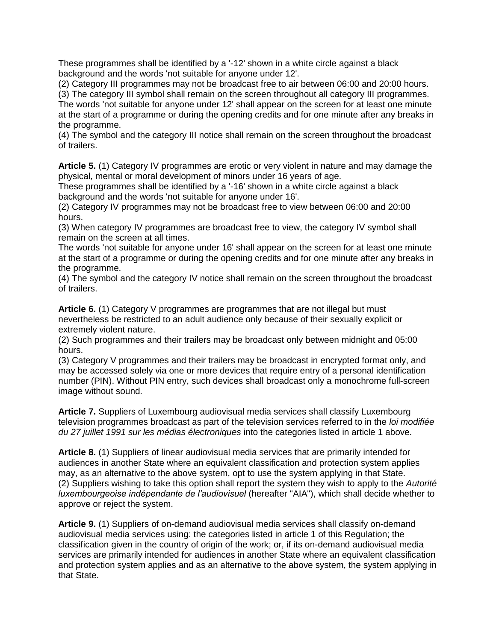These programmes shall be identified by a '-12' shown in a white circle against a black background and the words 'not suitable for anyone under 12'.

(2) Category III programmes may not be broadcast free to air between 06:00 and 20:00 hours.

(3) The category III symbol shall remain on the screen throughout all category III programmes.

The words 'not suitable for anyone under 12' shall appear on the screen for at least one minute at the start of a programme or during the opening credits and for one minute after any breaks in the programme.

(4) The symbol and the category III notice shall remain on the screen throughout the broadcast of trailers.

**Article 5.** (1) Category IV programmes are erotic or very violent in nature and may damage the physical, mental or moral development of minors under 16 years of age.

These programmes shall be identified by a '-16' shown in a white circle against a black background and the words 'not suitable for anyone under 16'.

(2) Category IV programmes may not be broadcast free to view between 06:00 and 20:00 hours.

(3) When category IV programmes are broadcast free to view, the category IV symbol shall remain on the screen at all times.

The words 'not suitable for anyone under 16' shall appear on the screen for at least one minute at the start of a programme or during the opening credits and for one minute after any breaks in the programme.

(4) The symbol and the category IV notice shall remain on the screen throughout the broadcast of trailers.

**Article 6.** (1) Category V programmes are programmes that are not illegal but must nevertheless be restricted to an adult audience only because of their sexually explicit or extremely violent nature.

(2) Such programmes and their trailers may be broadcast only between midnight and 05:00 hours.

(3) Category V programmes and their trailers may be broadcast in encrypted format only, and may be accessed solely via one or more devices that require entry of a personal identification number (PIN). Without PIN entry, such devices shall broadcast only a monochrome full-screen image without sound.

**Article 7.** Suppliers of Luxembourg audiovisual media services shall classify Luxembourg television programmes broadcast as part of the television services referred to in the *loi modifiée du 27 juillet 1991 sur les médias électroniques* into the categories listed in article 1 above.

**Article 8.** (1) Suppliers of linear audiovisual media services that are primarily intended for audiences in another State where an equivalent classification and protection system applies may, as an alternative to the above system, opt to use the system applying in that State. (2) Suppliers wishing to take this option shall report the system they wish to apply to the *Autorité luxembourgeoise indépendante de l'audiovisuel* (hereafter "AIA"), which shall decide whether to approve or reject the system.

**Article 9.** (1) Suppliers of on-demand audiovisual media services shall classify on-demand audiovisual media services using: the categories listed in article 1 of this Regulation; the classification given in the country of origin of the work; or, if its on-demand audiovisual media services are primarily intended for audiences in another State where an equivalent classification and protection system applies and as an alternative to the above system, the system applying in that State.